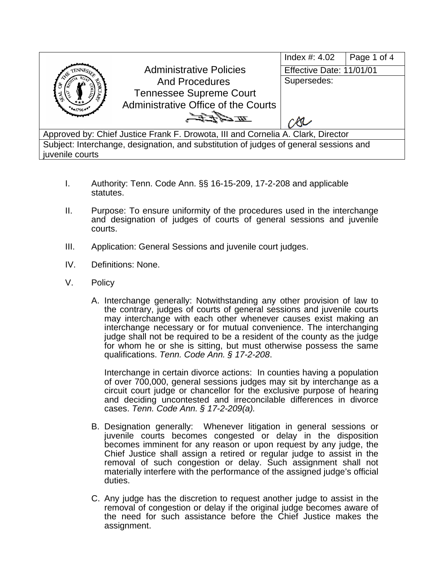

- I. Authority: Tenn. Code Ann. §§ 16-15-209, 17-2-208 and applicable statutes.
- II. Purpose: To ensure uniformity of the procedures used in the interchange and designation of judges of courts of general sessions and juvenile courts.
- III. Application: General Sessions and juvenile court judges.
- IV. Definitions: None.
- V. Policy
	- A. Interchange generally: Notwithstanding any other provision of law to the contrary, judges of courts of general sessions and juvenile courts may interchange with each other whenever causes exist making an interchange necessary or for mutual convenience. The interchanging judge shall not be required to be a resident of the county as the judge for whom he or she is sitting, but must otherwise possess the same qualifications. *Tenn. Code Ann. § 17-2-208*.

Interchange in certain divorce actions: In counties having a population of over 700,000, general sessions judges may sit by interchange as a circuit court judge or chancellor for the exclusive purpose of hearing and deciding uncontested and irreconcilable differences in divorce cases. *Tenn. Code Ann. § 17-2-209(a).*

- B. Designation generally: Whenever litigation in general sessions or juvenile courts becomes congested or delay in the disposition becomes imminent for any reason or upon request by any judge, the Chief Justice shall assign a retired or regular judge to assist in the removal of such congestion or delay. Such assignment shall not materially interfere with the performance of the assigned judge's official duties.
- C. Any judge has the discretion to request another judge to assist in the removal of congestion or delay if the original judge becomes aware of the need for such assistance before the Chief Justice makes the assignment.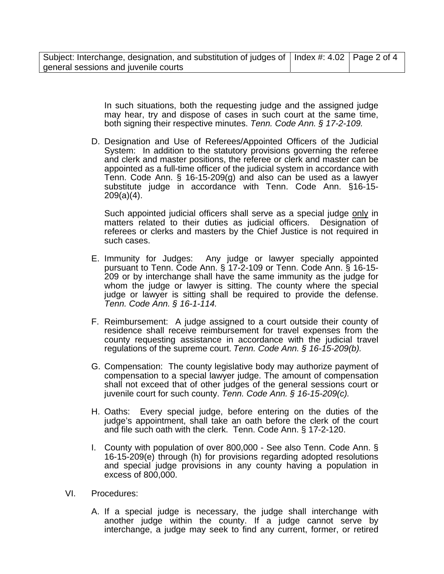| Subject: Interchange, designation, and substitution of judges of   Index #: 4.02   Page 2 of 4 |  |
|------------------------------------------------------------------------------------------------|--|
| general sessions and juvenile courts                                                           |  |

In such situations, both the requesting judge and the assigned judge may hear, try and dispose of cases in such court at the same time, both signing their respective minutes. *Tenn. Code Ann. § 17-2-109.* 

D. Designation and Use of Referees/Appointed Officers of the Judicial System: In addition to the statutory provisions governing the referee and clerk and master positions, the referee or clerk and master can be appointed as a full-time officer of the judicial system in accordance with Tenn. Code Ann. § 16-15-209(g) and also can be used as a lawyer substitute judge in accordance with Tenn. Code Ann. §16-15- 209(a)(4).

Such appointed judicial officers shall serve as a special judge only in matters related to their duties as judicial officers. Designation of referees or clerks and masters by the Chief Justice is not required in such cases.

- E. Immunity for Judges: Any judge or lawyer specially appointed pursuant to Tenn. Code Ann. § 17-2-109 or Tenn. Code Ann. § 16-15- 209 or by interchange shall have the same immunity as the judge for whom the judge or lawyer is sitting. The county where the special judge or lawyer is sitting shall be required to provide the defense. *Tenn. Code Ann. § 16-1-114.*
- F. Reimbursement: A judge assigned to a court outside their county of residence shall receive reimbursement for travel expenses from the county requesting assistance in accordance with the judicial travel regulations of the supreme court. *Tenn. Code Ann. § 16-15-209(b).*
- G. Compensation: The county legislative body may authorize payment of compensation to a special lawyer judge. The amount of compensation shall not exceed that of other judges of the general sessions court or juvenile court for such county. *Tenn. Code Ann. § 16-15-209(c).*
- H. Oaths: Every special judge, before entering on the duties of the judge's appointment, shall take an oath before the clerk of the court and file such oath with the clerk. Tenn. Code Ann. § 17-2-120.
- I. County with population of over 800,000 See also Tenn. Code Ann. § 16-15-209(e) through (h) for provisions regarding adopted resolutions and special judge provisions in any county having a population in excess of 800,000.
- VI. Procedures:
	- A. If a special judge is necessary, the judge shall interchange with another judge within the county. If a judge cannot serve by interchange, a judge may seek to find any current, former, or retired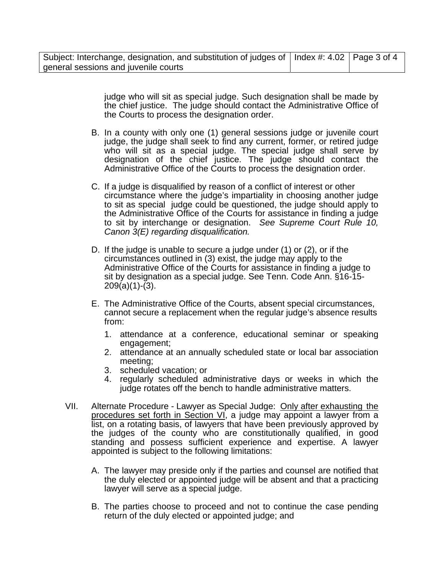| Subject: Interchange, designation, and substitution of judges of   Index #: 4.02   Page 3 of 4 |  |
|------------------------------------------------------------------------------------------------|--|
| general sessions and juvenile courts                                                           |  |

judge who will sit as special judge. Such designation shall be made by the chief justice. The judge should contact the Administrative Office of the Courts to process the designation order.

- B. In a county with only one (1) general sessions judge or juvenile court judge, the judge shall seek to find any current, former, or retired judge who will sit as a special judge. The special judge shall serve by designation of the chief justice. The judge should contact the Administrative Office of the Courts to process the designation order.
- C. If a judge is disqualified by reason of a conflict of interest or other circumstance where the judge's impartiality in choosing another judge to sit as special judge could be questioned, the judge should apply to the Administrative Office of the Courts for assistance in finding a judge to sit by interchange or designation. *See Supreme Court Rule 10, Canon 3(E) regarding disqualification.*
- D. If the judge is unable to secure a judge under (1) or (2), or if the circumstances outlined in (3) exist, the judge may apply to the Administrative Office of the Courts for assistance in finding a judge to sit by designation as a special judge. See Tenn. Code Ann. §16-15- 209(a)(1)-(3).
- E. The Administrative Office of the Courts, absent special circumstances, cannot secure a replacement when the regular judge's absence results from:
	- 1. attendance at a conference, educational seminar or speaking engagement;
	- 2. attendance at an annually scheduled state or local bar association meeting;
	- 3. scheduled vacation; or
	- 4. regularly scheduled administrative days or weeks in which the judge rotates off the bench to handle administrative matters.
- VII. Alternate Procedure Lawyer as Special Judge: Only after exhausting the procedures set forth in Section VI, a judge may appoint a lawyer from a list, on a rotating basis, of lawyers that have been previously approved by the judges of the county who are constitutionally qualified, in good standing and possess sufficient experience and expertise. A lawyer appointed is subject to the following limitations:
	- A. The lawyer may preside only if the parties and counsel are notified that the duly elected or appointed judge will be absent and that a practicing lawyer will serve as a special judge.
	- B. The parties choose to proceed and not to continue the case pending return of the duly elected or appointed judge; and